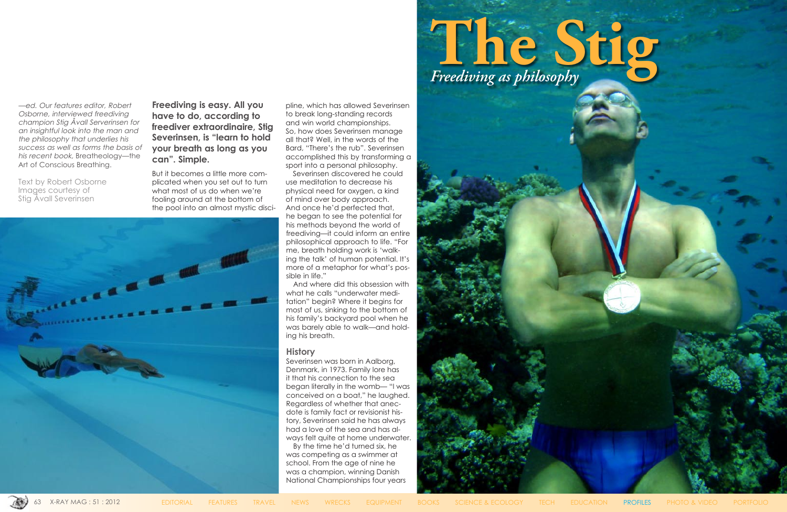—ed. Our features editor, Robert Osborne, interviewed freediving champion Stig Åvall Serverinsen for an insightful look into the man and the philosophy that underlies his success as well as forms the basis of his recent book, Breatheology—the Art of Conscious Breathing.

Text by Robert Osborne Images courtesy of Stig Åvall Severinsen

**Freediving is easy. All you have to do, according to freediver extraordinaire, Stig Severinsen, is "learn to hold your breath as long as you can". Simple.**

But it becomes a little more complicated when you set out to turn what most of us do when we're fooling around at the bottom of the pool into an almost mystic disci-



pline, which has allowed Severinsen to break long-standing records and win world championships. So, how does Severinsen manage all that? Well, in the words of the Bard, "There's the rub". Severinsen accomplished this by transforming a sport into a personal philosophy.

Severinsen discovered he could use meditation to decrease his physical need for oxygen, a kind of mind over body approach. And once he'd perfected that, he began to see the potential for his methods beyond the world of freediving—it could inform an entire philosophical approach to life. "For me, breath holding work is 'walking the talk' of human potential. It's more of a metaphor for what's possible in life."

And where did this obsession with what he calls "underwater meditation" begin? Where it begins for most of us, sinking to the bottom of his family's backyard pool when he was barely able to walk—and holding his breath.

# **History**

Severinsen was born in Aalborg, Denmark, in 1973. Family lore has it that his connection to the sea began literally in the womb— "I was conceived on a boat," he laughed. Regardless of whether that anecdote is family fact or revisionist history, Severinsen said he has always had a love of the sea and has always felt quite at home underwater.

By the time he'd turned six, he was competing as a swimmer at school. From the age of nine he was a champion, winning Danish National Championships four years

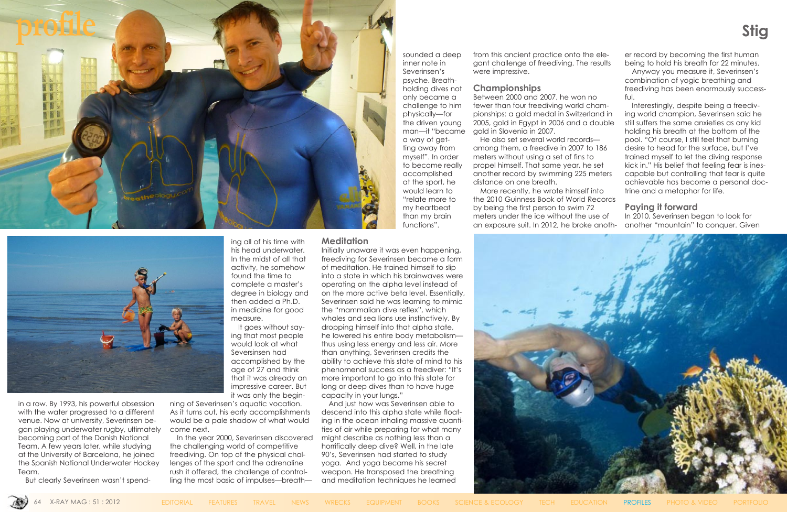in a row. By 1993, his powerful obsession with the water progressed to a different venue. Now at university, Severinsen began playing underwater rugby, ultimately becoming part of the Danish National Team. A few years later, while studying at the University of Barcelona, he joined the Spanish National Underwater Hockey Team.

But clearly Severinsen wasn't spend-

ing all of his time with his head underwater. In the midst of all that activity, he somehow found the time to complete a master's degree in biology and then added a Ph.D. in medicine for good measure.

It goes without saying that most people would look at what Seversinsen had accomplished by the age of 27 and think that it was already an impressive career. But it was only the begin-

ning of Severinsen's aquatic vocation. As it turns out, his early accomplishments would be a pale shadow of what would come next.

In the year 2000, Severinsen discovered the challenging world of competitive freediving. On top of the physical challenges of the sport and the adrenaline rush it offered, the challenge of controlling the most basic of impulses—breathsounded a deep inner note in Severinsen's psyche. Breathholding dives not only became a challenge to him physically—for the driven young man—it "became a way of getting away from myself". In order to become really accomplished at the sport, he would learn to "relate more to my heartbeat than my brain

functions".

## **Meditation**

Initially unaware it was even happening, freediving for Severinsen became a form of meditation. He trained himself to slip into a state in which his brainwaves were operating on the alpha level instead of on the more active beta level. Essentially, Severinsen said he was learning to mimic the "mammalian dive reflex", which whales and sea lions use instinctively. By dropping himself into that alpha state, he lowered his entire body metabolism thus using less energy and less air. More than anything, Severinsen credits the ability to achieve this state of mind to his phenomenal success as a freediver: "It's more important to go into this state for long or deep dives than to have huge capacity in your lungs."

And just how was Severinsen able to descend into this alpha state while floating in the ocean inhaling massive quantities of air while preparing for what many might describe as nothing less than a horrifically deep dive? Well, in the late 90's, Severinsen had started to study yoga. And yoga became his secret weapon. He transposed the breathing and meditation techniques he learned



from this ancient practice onto the elegant challenge of freediving. The results were impressive.

#### **Championships**

Between 2000 and 2007, he won no fewer than four freediving world championships: a gold medal in Switzerland in 2005, gold in Egypt in 2006 and a double gold in Slovenia in 2007.

He also set several world records among them, a freedive in 2007 to 186 meters without using a set of fins to propel himself. That same year, he set another record by swimming 225 meters distance on one breath.

More recently, he wrote himself into the 2010 Guinness Book of World Records by being the first person to swim 72 meters under the ice without the use of an exposure suit. In 2012, he broke anoth-





er record by becoming the first human being to hold his breath for 22 minutes. Anyway you measure it, Severinsen's combination of yogic breathing and freediving has been enormously successful.

Interestingly, despite being a freediving world champion, Severinsen said he still suffers the same anxieties as any kid holding his breath at the bottom of the pool. "Of course, I still feel that burning desire to head for the surface, but I've trained myself to let the diving response kick in." His belief that feeling fear is inescapable but controlling that fear is quite achievable has become a personal doctrine and a metaphor for life.

## **Paying it forward**

In 2010, Severinsen began to look for another "mountain" to conquer. Given